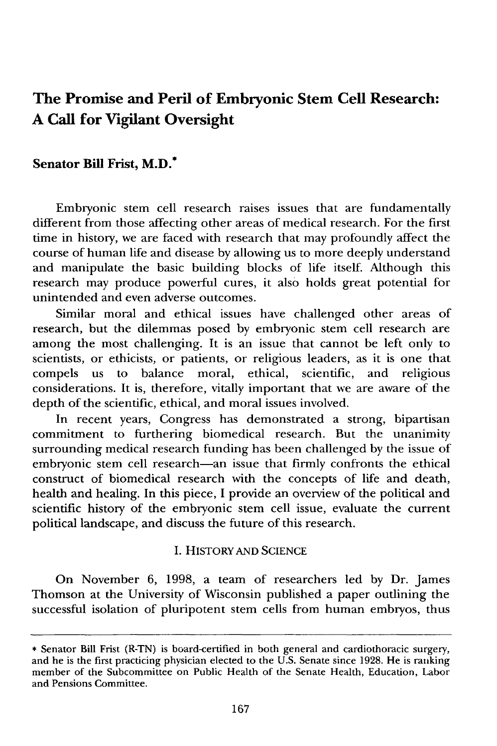# **The Promise and Peril of Embryonic Stem Cell Research: A Call for Vigilant Oversight**

## **Senator Bill Frist, M.D.\***

Embryonic stem cell research raises issues that are fundamentally different from those affecting other areas of medical research. For the first time in history, we are faced with research that may profoundly affect the course of human life and disease **by** allowing us to more deeply understand and manipulate the basic building blocks of life itself. Although this research may produce powerful cures, it also holds great potential for unintended and even adverse outcomes.

Similar moral and ethical issues have challenged other areas of research, but the dilemmas posed **by** embryonic stem cell research are among the most challenging. It is an issue that cannot be left only to scientists, or ethicists, or patients, or religious leaders, as it is one that compels us to balance moral, ethical, scientific, and religious considerations. It is, therefore, vitally important that we are aware of the depth of the scientific, ethical, and moral issues involved.

In recent years, Congress has demonstrated a strong, bipartisan commitment to furthering biomedical research. But the unanimity surrounding medical research funding has been challenged **by** the issue of embryonic stem cell research-an issue that firmly confronts the ethical construct of biomedical research with the concepts of life and death, health and healing. In this piece, **I** provide an overview of the political and scientific history of the embryonic stem cell issue, evaluate the current political landscape, and discuss the future of this research.

#### **I.** HISTORY **AND SCIENCE**

On November **6, 1998,** a team of researchers led **by** Dr. James Thomson at the University of Wisconsin published a paper outlining the successful isolation of pluripotent stem cells from human embryos, thus

<sup>\*</sup> Senator Bill Frist (R-TN) is board-certified in both general and cardiothoracic surgery, and he is the first practicing physician elected to the U.S. Senate since 1928. He is ranking member of the Subcommittee on Public Health of the Senate Health, Education, Labor and Pensions Committee.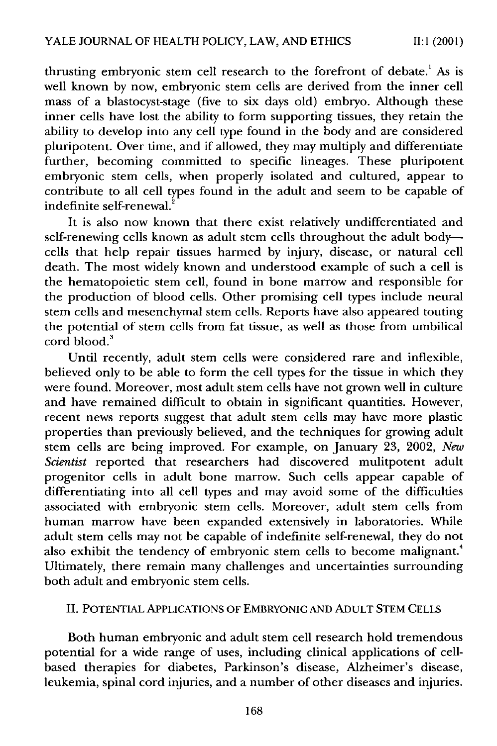thrusting embryonic stem cell research to the forefront of debate.<sup>1</sup> As is well known by now, embryonic stem cells are derived from the inner cell mass of a blastocyst-stage (five to six days old) embryo. Although these inner cells have lost the ability to form supporting tissues, they retain the ability to develop into any cell type found in the body and are considered pluripotent. Over time, and if allowed, they may multiply and differentiate further, becoming committed to specific lineages. These pluripotent embryonic stem cells, when properly isolated and cultured, appear to contribute to all cell types found in the adult and seem to be capable of indefinite self-renewal.2

It is also now known that there exist relatively undifferentiated and self-renewing cells known as adult stem cells throughout the adult body-cells that help repair tissues harmed by injury, disease, or natural cell death. The most widely known and understood example of such a cell is the hematopoietic stem cell, found in bone marrow and responsible for the production of blood cells. Other promising cell types include neural stem cells and mesenchymal stem cells. Reports have also appeared touting the potential of stem cells from fat tissue, as well as those from umbilical cord blood.<sup>3</sup>

Until recently, adult stem cells were considered rare and inflexible, believed only to be able to form the cell types for the tissue in which they were found. Moreover, most adult stem cells have not grown well in culture and have remained difficult to obtain in significant quantities. However, recent news reports suggest that adult stem cells may have more plastic properties than previously believed, and the techniques for growing adult stem cells are being improved. For example, on January 23, 2002, *New Scientist* reported that researchers had discovered mulitpotent adult progenitor cells in adult bone marrow. Such cells appear capable of differentiating into all cell types and may avoid some of the difficulties associated with embryonic stem cells. Moreover, adult stem cells from human marrow have been expanded extensively in laboratories. While adult stem cells may not be capable of indefinite self-renewal, they do not also exhibit the tendency of embryonic stem cells to become malignant.<sup>4</sup> Ultimately, there remain many challenges and uncertainties surrounding both adult and embryonic stem cells.

## II. POTENTIAL APPLICATIONS OF EMBRYONIC AND ADULT STEM CELLS

Both human embryonic and adult stem cell research hold tremendous potential for a wide range of uses, including clinical applications of cellbased therapies for diabetes, Parkinson's disease, Alzheimer's disease, leukemia, spinal cord injuries, and a number of other diseases and injuries.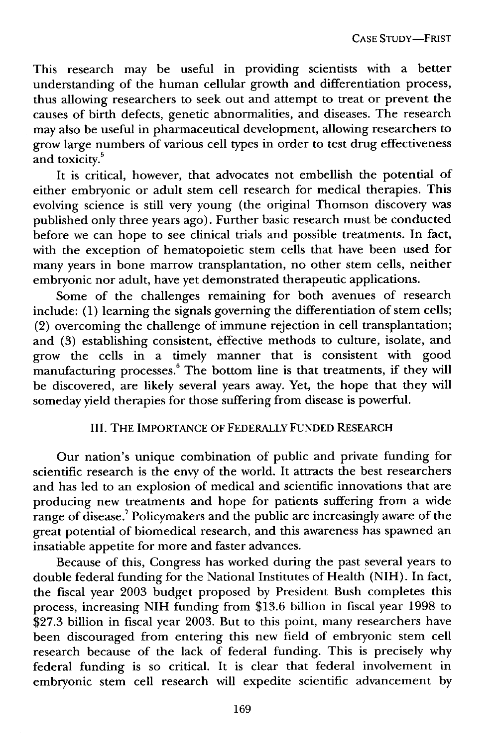This research may be useful in providing scientists with a better understanding of the human cellular growth and differentiation process, thus allowing researchers to seek out and attempt to treat or prevent the causes of birth defects, genetic abnormalities, and diseases. The research may also be useful in pharmaceutical development, allowing researchers to grow large numbers of various cell types in order to test drug effectiveness and toxicity.<sup>5</sup>

It is critical, however, that advocates not embellish the potential of either embryonic or adult stem cell research for medical therapies. This evolving science is still very young (the original Thomson discovery was published only three years ago). Further basic research must be conducted before we can hope to see clinical trials and possible treatments. In fact, with the exception of hematopoietic stem cells that have been used for many years in bone marrow transplantation, no other stem cells, neither embryonic nor adult, have yet demonstrated therapeutic applications.

Some of the challenges remaining for both avenues of research include: (1) learning the signals governing the differentiation of stem cells; (2) overcoming the challenge of immune rejection in cell transplantation; and (3) establishing consistent, effective methods to culture, isolate, and grow the cells in a timely manner that is consistent with good manufacturing processes.<sup>6</sup> The bottom line is that treatments, if they will be discovered, are likely several years away. Yet, the hope that they will someday yield therapies for those suffering from disease is powerful.

## III. THE IMPORTANCE OF FEDERALLY FUNDED RESEARCH

Our nation's unique combination of public and private funding for scientific research is the envy of the world. It attracts the best researchers and has led to an explosion of medical and scientific innovations that are producing new treatments and hope for patients suffering from a wide range of disease.<sup>7</sup> Policymakers and the public are increasingly aware of the great potential of biomedical research, and this awareness has spawned an insatiable appetite for more and faster advances.

Because of this, Congress has worked during the past several years to double federal funding for the National Institutes of Health (NIH). In fact, the fiscal year 2003 budget proposed by President Bush completes this process, increasing NIH funding from \$13.6 billion in fiscal year 1998 to \$27.3 billion in fiscal year 2003. But to this point, many researchers have been discouraged from entering this new field of embryonic stem cell research because of the lack of federal funding. This is precisely why federal funding is so critical. It is clear that federal involvement in embryonic stem cell research will expedite scientific advancement by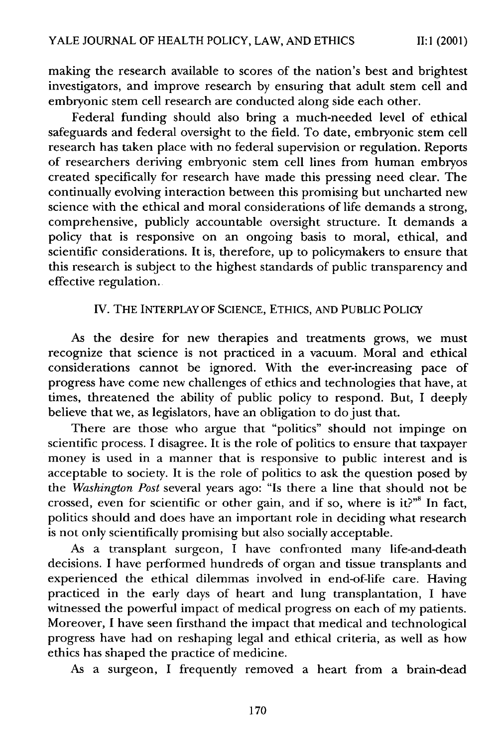making the research available to scores of the nation's best and brightest investigators, and improve research by ensuring that adult stem cell and embryonic stem cell research are conducted along side each other.

Federal funding should also bring a much-needed level of ethical safeguards and federal oversight to the field. To date, embryonic stem cell research has taken place with no federal supervision or regulation. Reports of researchers deriving embryonic stem cell lines from human embryos created specifically for research have made this pressing need clear. The continually evolving interaction between this promising but uncharted new science with the ethical and moral considerations of life demands a strong, comprehensive, publicly accountable oversight structure. It demands a policy that is responsive on an ongoing basis to moral, ethical, and scientific considerations. It is, therefore, up to policymakers to ensure that this research is subject to the highest standards of public transparency and effective regulation.

## IV. THE INTERPLAY OF SCIENCE, ETHICS, AND PUBLIC POLICY

As the desire for new therapies and treatments grows, we must recognize that science is not practiced in a vacuum. Moral and ethical considerations cannot be ignored. With the ever-increasing pace of progress have come new challenges of ethics and technologies that have, at times, threatened the ability of public policy to respond. But, I deeply believe that we, as legislators, have an obligation to do just that.

There are those who argue that "politics" should not impinge on scientific process. I disagree. It is the role of politics to ensure that taxpayer money is used in a manner that is responsive to public interest and is acceptable to society. It is the role of politics to ask the question posed by the *Washington Post* several years ago: "Is there a line that should not be crossed, even for scientific or other gain, and if so, where is it?"<sup>8</sup> In fact, politics should and does have an important role in deciding what research is not only scientifically promising but also socially acceptable.

As a transplant surgeon, I have confionted many life-and-death decisions. I have performed hundreds of organ and tissue transplants and experienced the ethical dilemmas involved in end-of-life care. Having practiced in the early days of heart and lung transplantation, I have witnessed the powerful impact of medical progress on each of my patients. Moreover, I have seen firsthand the impact that medical and technological progress have had on reshaping legal and ethical criteria, as well as how ethics has shaped the practice of medicine.

As a surgeon, I frequently removed a heart from a brain-dead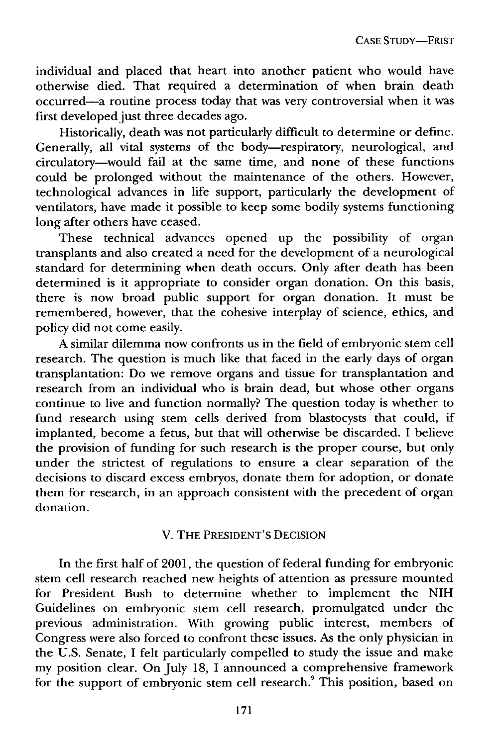CASE STUDY-FRIST

individual and placed that heart into another patient who would have otherwise died. That required a determination of when brain death occurred-a routine process today that was very controversial when it was first developed just three decades ago.

Historically, death was not particularly difficult to determine or define. Generally, all vital systems of the body-respiratory, neurological, and circulatory-would fail at the same time, and none of these functions could be prolonged without the maintenance of the others. However, technological advances in life support, particularly the development of ventilators, have made it possible to keep some bodily systems functioning long after others have ceased.

These technical advances opened up the possibility of organ transplants and also created a need for the development of a neurological standard for determining when death occurs. Only after death has been determined is it appropriate to consider organ donation. On this basis, there is now broad public support for organ donation. It must be remembered, however, that the cohesive interplay of science, ethics, and policy did not come easily.

A similar dilemma now confronts us in the field of embryonic stem cell research. The question is much like that faced in the early days of organ transplantation: Do we remove organs and tissue for transplantation and research from an individual who is brain dead, but whose other organs continue to live and function normally? The question today is whether to fund research using stem cells derived from blastocysts that could, if implanted, become a fetus, but that will otherwise be discarded. I believe the provision of funding for such research is the proper course, but only under the strictest of regulations to ensure a clear separation of the decisions to discard excess embryos, donate them for adoption, or donate them for research, in an approach consistent with the precedent of organ donation.

## V. THE PRESIDENT'S DECISION

In the first half of 2001, the question of federal funding **for** embryonic stem cell research reached new heights of attention as pressure mounted for President Bush to determine whether to implement the NIH Guidelines on embryonic stem cell research, promulgated under the previous administration. With growing public interest, members of Congress were also forced to confront these issues. As the only physician in the U.S. Senate, I felt particularly compelled to study the issue and make my position clear. On July 18, I announced a comprehensive framework for the support of embryonic stem cell research.<sup>9</sup> This position, based on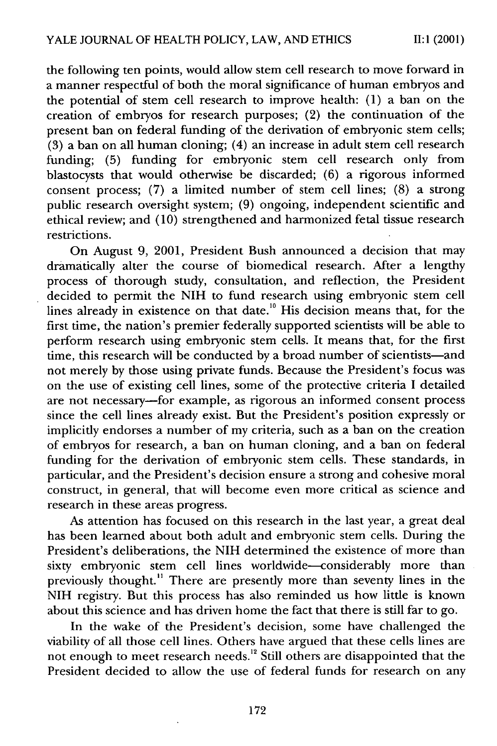the following ten points, would allow stem cell research to move forward in a manner respectful of both the moral significance of human embryos and the potential of stem cell research to improve health: (1) a ban on the creation of embryos for research purposes; (2) the continuation of the present ban on federal funding of the derivation of embryonic stem cells; (3) a ban on all human cloning; (4) an increase in adult stem cell research funding; (5) funding for embryonic stem cell research only from blastocysts that would otherwise be discarded; (6) a rigorous informed consent process; (7) a limited number of stem cell lines; (8) a strong public research oversight system; (9) ongoing, independent scientific and ethical review; and (10) strengthened and harmonized fetal tissue research restrictions.

On August 9, 2001, President Bush announced a decision that may dramatically alter the course of biomedical research. After a lengthy process of thorough study, consultation, and reflection, the President decided to permit the NIH to fund research using embryonic stem cell lines already in existence on that date.<sup>10</sup> His decision means that, for the first time, the nation's premier federally supported scientists will be able to perform research using embryonic stem cells. It means that, for the first time, this research will be conducted by a broad number of scientists—and not merely by those using private funds. Because the President's focus was on the use of existing cell lines, some of the protective criteria I detailed are not necessary-for example, as rigorous an informed consent process since the cell lines already exist. But the President's position expressly or implicitly endorses a number of my criteria, such as a ban on the creation of embryos for research, a ban on human cloning, and a ban on federal funding for the derivation of embryonic stem cells. These standards, in particular, and the President's decision ensure a strong and cohesive moral construct, in general, that will become even more critical as science and research in these areas progress.

As attention has focused on this research in the last year, a great deal has been learned about both adult and embryonic stem cells. During the President's deliberations, the NIH determined the existence of more than sixty embryonic stem cell lines worldwide-considerably more than previously thought." There are presently more than seventy lines in the NIH registry. But this process has also reminded us how little is known about this science and has driven home the fact that there is still far to go.

In the wake of the President's decision, some have challenged the viability of all those cell lines. Others have argued that these cells lines are not enough to meet research needs.<sup>12</sup> Still others are disappointed that the President decided to allow the use of federal funds for research on any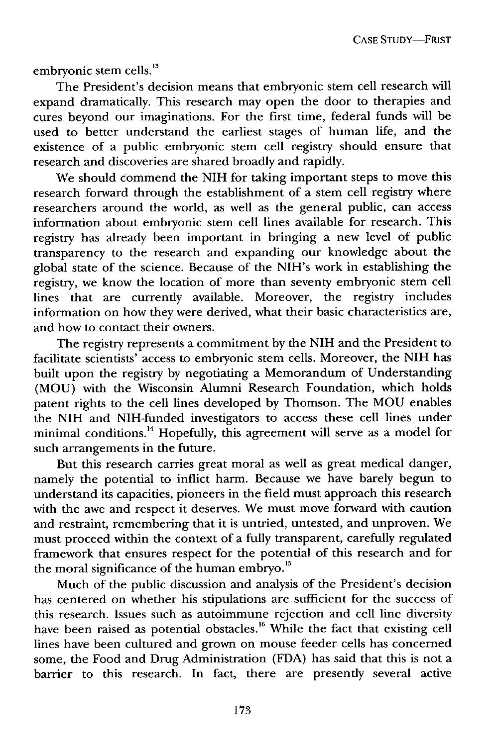embryonic stem cells.<sup>13</sup>

The President's decision means that embryonic stem cell research will expand dramatically. This research may open the door to therapies and cures beyond our imaginations. For the first time, federal funds will be used to better understand the earliest stages of human life, and the existence of a public embryonic stem cell registry should ensure that research and discoveries are shared broadly and rapidly.

We should commend the NIH for taking important steps to move this research forward through the establishment of a stem cell registry where researchers around the world, as well as the general public, can access information about embryonic stem cell lines available for research. This registry has already been important in bringing a new level of public transparency to the research and expanding our knowledge about the global state of the science. Because of the NIH's work in establishing the registry, we know the location of more than seventy embryonic stem cell lines that are currently available. Moreover, the registry includes information on how they were derived, what their basic characteristics are, and how to contact their owners.

The registry represents a commitment by the NIH and the President to facilitate scientists' access to embryonic stem cells. Moreover, the NIH has built upon the registry by negotiating a Memorandum of Understanding (MOU) with the Wisconsin Alumni Research Foundation, which holds patent rights to the cell lines developed by Thomson. The MOU enables the NIH and NIH-funded investigators to access these cell lines under minimal conditions.<sup>14</sup> Hopefully, this agreement will serve as a model for such arrangements in the future.

But this research carries great moral as well as great medical danger, namely the potential to inflict harm. Because we have barely begun to understand its capacities, pioneers in the field must approach this research with the awe and respect it deserves. We must move forward with caution and restraint, remembering that it is untried, untested, and unproven. We must proceed within the context of a fully transparent, carefully regulated framework that ensures respect for the potential of this research and for the moral significance of the human embryo.<sup>15</sup>

Much of the public discussion and analysis of the President's decision has centered on whether his stipulations are sufficient for the success of this research. Issues such as autoimmune rejection and cell line diversity have been raised as potential obstacles.<sup>16</sup> While the fact that existing cell lines have been cultured and grown on mouse feeder cells has concerned some, the Food and Drug Administration (FDA) has said that this is not a barrier to this research. In fact, there are presently several active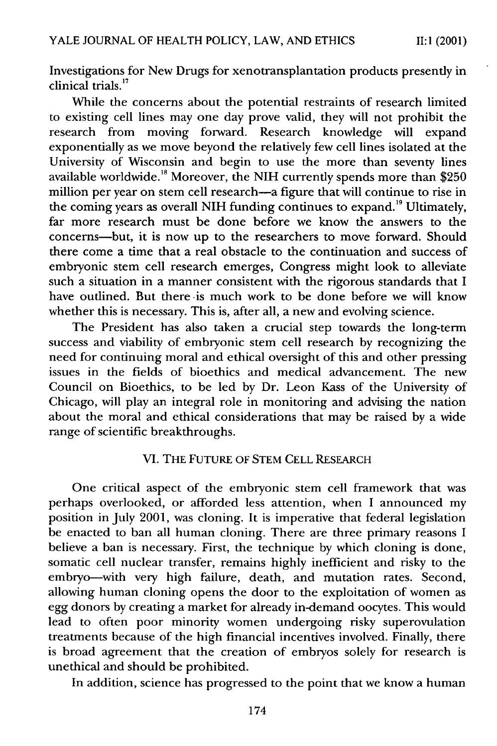Investigations for New Drugs for xenotransplantation products presently in clinical trials.<sup>17</sup>

While the concerns about the potential restraints of research limited to existing cell lines may one day prove valid, they will not prohibit the research from moving forward. Research knowledge will expand exponentially as we move beyond the relatively few cell lines isolated at the University of Wisconsin and begin to use the more than seventy lines available worldwide.<sup>18</sup> Moreover, the NIH currently spends more than \$250 million per year on stem cell research-a figure that will continue to rise in the coming years as overall NIH funding continues to expand.<sup>19</sup> Ultimately, far more research must be done before we know the answers to the concerns-but, it is now up to the researchers to move forward. Should there come a time that a real obstacle to the continuation and success of embryonic stem cell research emerges, Congress might look to alleviate such a situation in a manner consistent with the rigorous standards that I have outlined. But there is much work to be done before we will know whether this is necessary. This is, after all, a new and evolving science.

The President has also taken a crucial step towards the long-term success and viability of embryonic stem cell research by recognizing the need for continuing moral and ethical oversight of this and other pressing issues in the fields of bioethics and medical advancement. The new Council on Bioethics, to be led by Dr. Leon Kass of the University of Chicago, will play an integral role in monitoring and advising the nation about the moral and ethical considerations that may be raised by a wide range of scientific breakthroughs.

## VI. THE FUTURE OF STEM CELL RESEARCH

One critical aspect of the embryonic stem cell framework that was perhaps overlooked, or afforded less attention, when I announced my position in July 2001, was cloning. It is imperative that federal legislation be enacted to ban all human cloning. There are three primary reasons I believe a ban is necessary. First, the technique by which cloning is done, somatic cell nuclear transfer, remains highly inefficient and risky to the embryo-with very high failure, death, and mutation rates. Second, allowing human cloning opens the door to the exploitation of women as egg donors by creating a market for already in-demand oocytes. This would lead to often poor minority women undergoing risky superovulation treatments because of the high financial incentives involved. Finally, there is broad agreement that the creation of embryos solely for research is unethical and should be prohibited.

In addition, science has progressed to the point that we know a human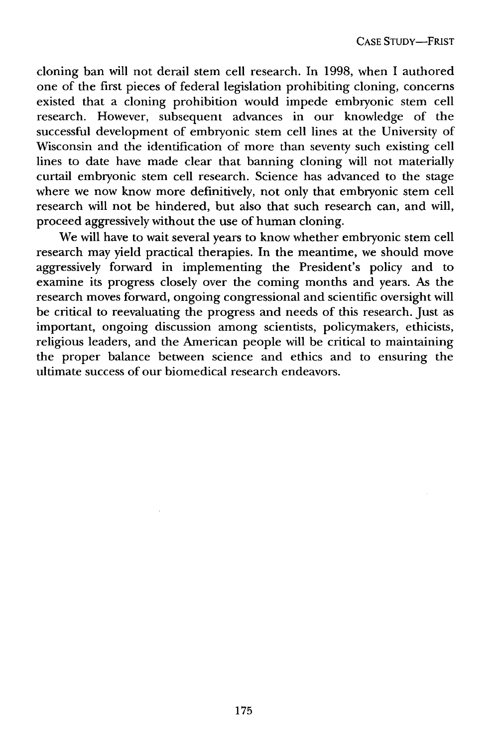cloning ban will not derail stem cell research. In 1998, when I authored one of the first pieces of federal legislation prohibiting cloning, concerns existed that a cloning prohibition would impede embryonic stem cell research. However, subsequent advances in our knowledge of the successful development of embryonic stem cell lines at the University of Wisconsin and the identification of more than seventy such existing cell lines to date have made clear that banning cloning will not materially curtail embryonic stem cell research. Science has advanced to the stage where we now know more definitively, not only that embryonic stem cell research will not be hindered, but also that such research can, and will, proceed aggressively without the use of human cloning.

We will have to wait several years to know whether embryonic stem cell research may yield practical therapies. In the meantime, we should move aggressively forward in implementing the President's policy and to examine its progress closely over the coming months and years. As the research moves forward, ongoing congressional and scientific oversight will be critical to reevaluating the progress and needs of this research. Just as important, ongoing discussion among scientists, policymakers, ethicists, religious leaders, and the American people will be critical to maintaining the proper balance between science and ethics and to ensuring the ultimate success of our biomedical research endeavors.